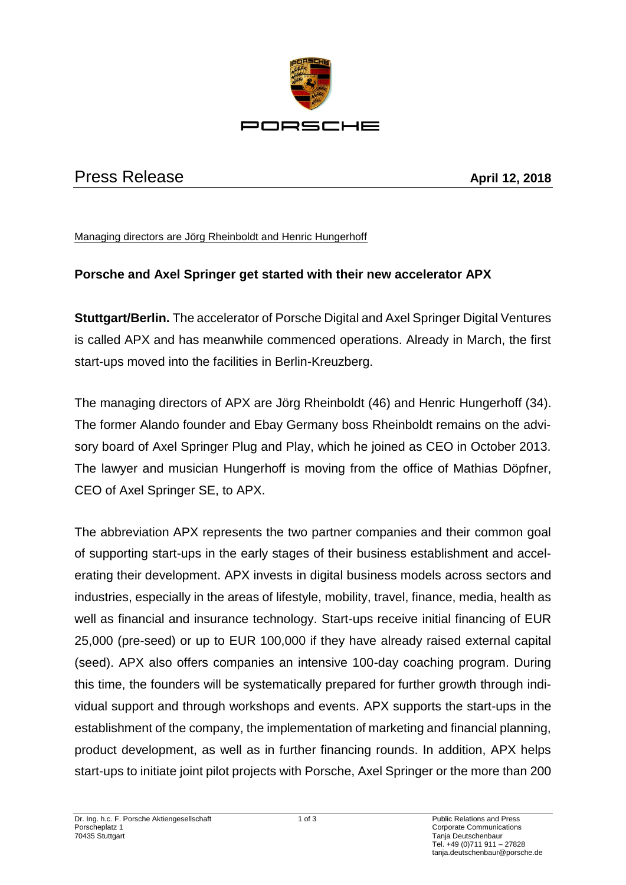

## Press Release **April 12, 2018**

Managing directors are Jörg Rheinboldt and Henric Hungerhoff

## **Porsche and Axel Springer get started with their new accelerator APX**

**Stuttgart/Berlin.** The accelerator of Porsche Digital and Axel Springer Digital Ventures is called APX and has meanwhile commenced operations. Already in March, the first start-ups moved into the facilities in Berlin-Kreuzberg.

The managing directors of APX are Jörg Rheinboldt (46) and Henric Hungerhoff (34). The former Alando founder and Ebay Germany boss Rheinboldt remains on the advisory board of Axel Springer Plug and Play, which he joined as CEO in October 2013. The lawyer and musician Hungerhoff is moving from the office of Mathias Döpfner, CEO of Axel Springer SE, to APX.

The abbreviation APX represents the two partner companies and their common goal of supporting start-ups in the early stages of their business establishment and accelerating their development. APX invests in digital business models across sectors and industries, especially in the areas of lifestyle, mobility, travel, finance, media, health as well as financial and insurance technology. Start-ups receive initial financing of EUR 25,000 (pre-seed) or up to EUR 100,000 if they have already raised external capital (seed). APX also offers companies an intensive 100-day coaching program. During this time, the founders will be systematically prepared for further growth through individual support and through workshops and events. APX supports the start-ups in the establishment of the company, the implementation of marketing and financial planning, product development, as well as in further financing rounds. In addition, APX helps start-ups to initiate joint pilot projects with Porsche, Axel Springer or the more than 200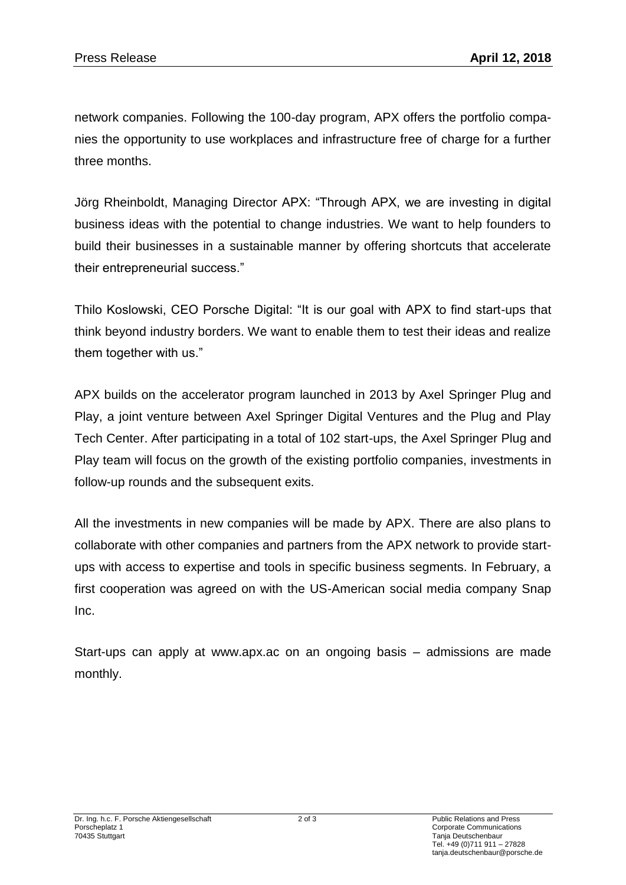network companies. Following the 100-day program, APX offers the portfolio companies the opportunity to use workplaces and infrastructure free of charge for a further three months.

Jörg Rheinboldt, Managing Director APX: "Through APX, we are investing in digital business ideas with the potential to change industries. We want to help founders to build their businesses in a sustainable manner by offering shortcuts that accelerate their entrepreneurial success."

Thilo Koslowski, CEO Porsche Digital: "It is our goal with APX to find start-ups that think beyond industry borders. We want to enable them to test their ideas and realize them together with us."

APX builds on the accelerator program launched in 2013 by Axel Springer Plug and Play, a joint venture between Axel Springer Digital Ventures and the Plug and Play Tech Center. After participating in a total of 102 start-ups, the Axel Springer Plug and Play team will focus on the growth of the existing portfolio companies, investments in follow-up rounds and the subsequent exits.

All the investments in new companies will be made by APX. There are also plans to collaborate with other companies and partners from the APX network to provide startups with access to expertise and tools in specific business segments. In February, a first cooperation was agreed on with the US-American social media company Snap Inc.

Start-ups can apply at www.apx.ac on an ongoing basis – admissions are made monthly.